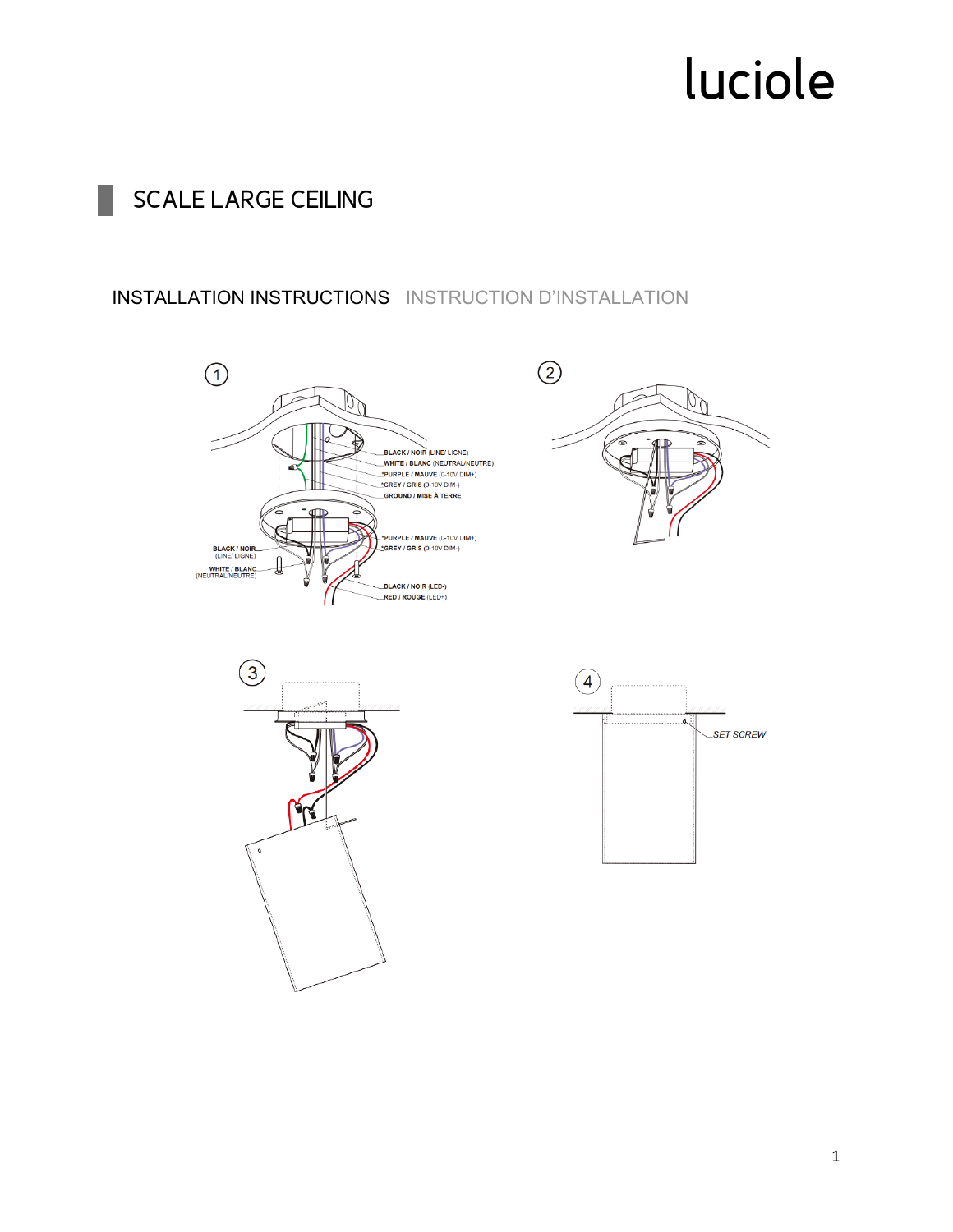## **SCALE LARGE CEILING**

#### **INSTALLATION INSTRUCTIONS** INSTRUCTION D'INSTALLATION







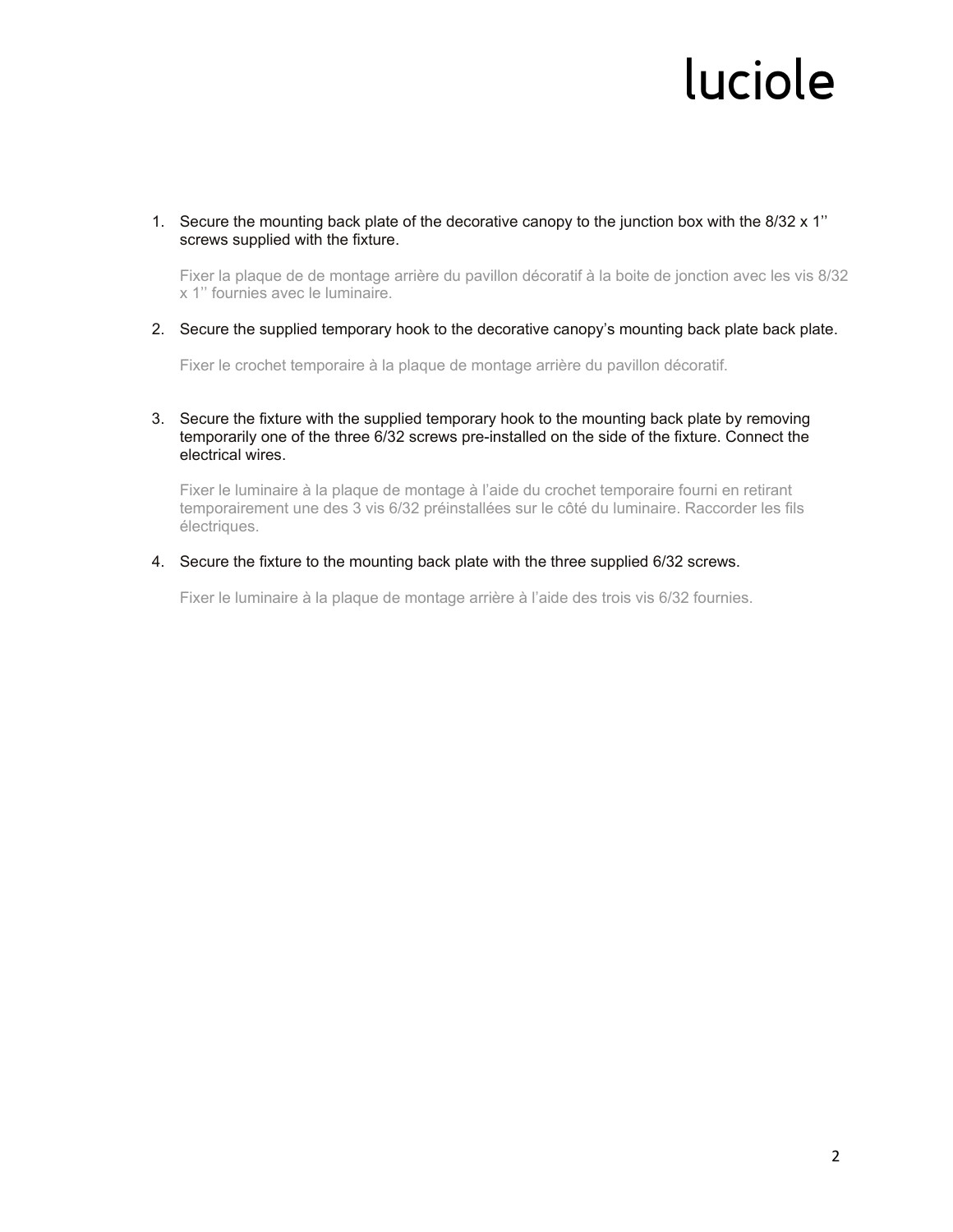1. Secure the mounting back plate of the decorative canopy to the junction box with the 8/32 x 1'' screws supplied with the fixture.

Fixer la plaque de de montage arrière du pavillon décoratif à la boite de jonction avec les vis 8/32 x 1'' fournies avec le luminaire.

2. Secure the supplied temporary hook to the decorative canopy's mounting back plate back plate.

Fixer le crochet temporaire à la plaque de montage arrière du pavillon décoratif.

#### 3. Secure the fixture with the supplied temporary hook to the mounting back plate by removing temporarily one of the three 6/32 screws pre-installed on the side of the fixture. Connect the electrical wires.

Fixer le luminaire à la plaque de montage à l'aide du crochet temporaire fourni en retirant temporairement une des 3 vis 6/32 préinstallées sur le côté du luminaire. Raccorder les fils électriques.

#### 4. Secure the fixture to the mounting back plate with the three supplied 6/32 screws.

Fixer le luminaire à la plaque de montage arrière à l'aide des trois vis 6/32 fournies.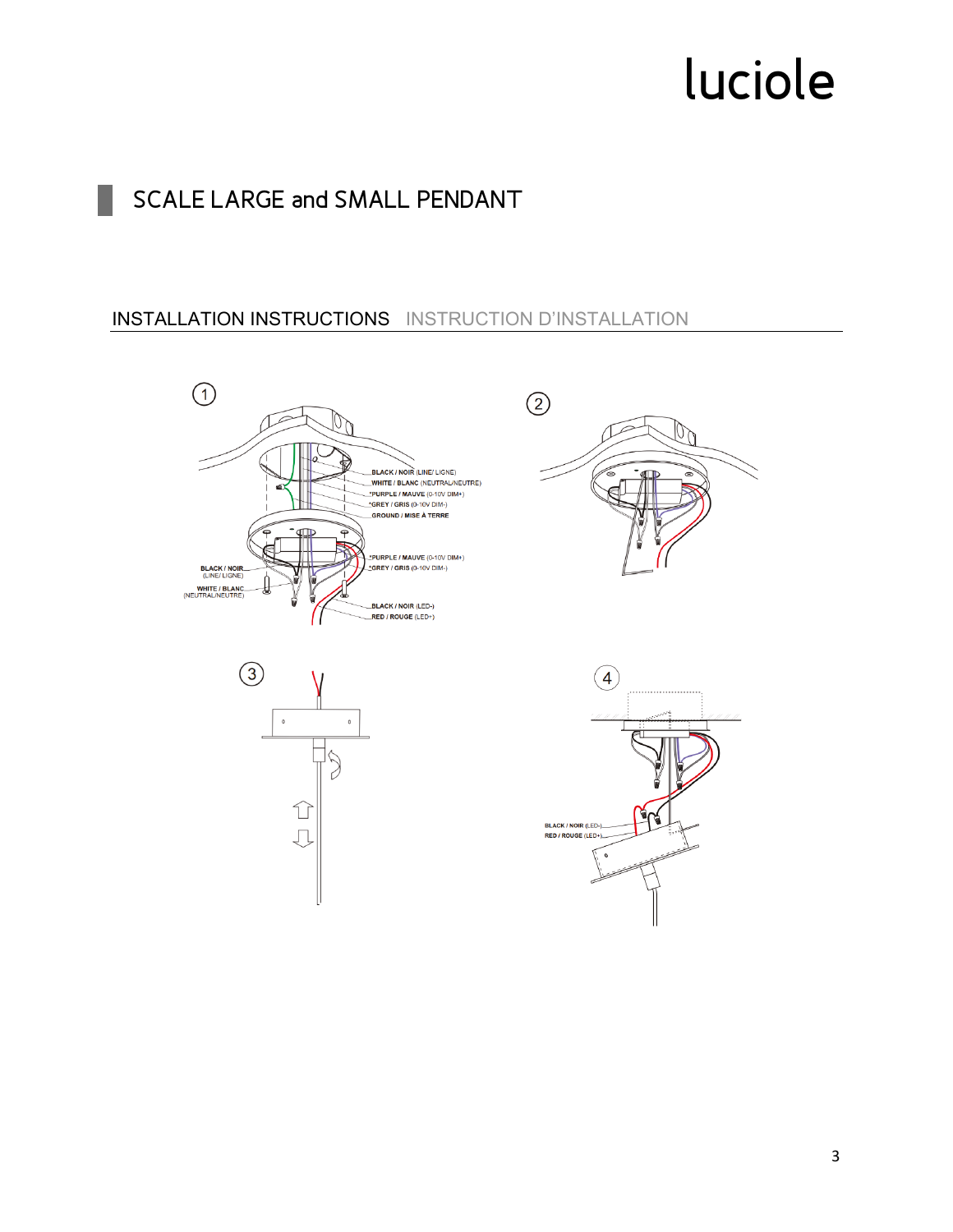## SCALE LARGE and SMALL PENDANT

### **INSTALLATION INSTRUCTIONS** INSTRUCTION D'INSTALLATION